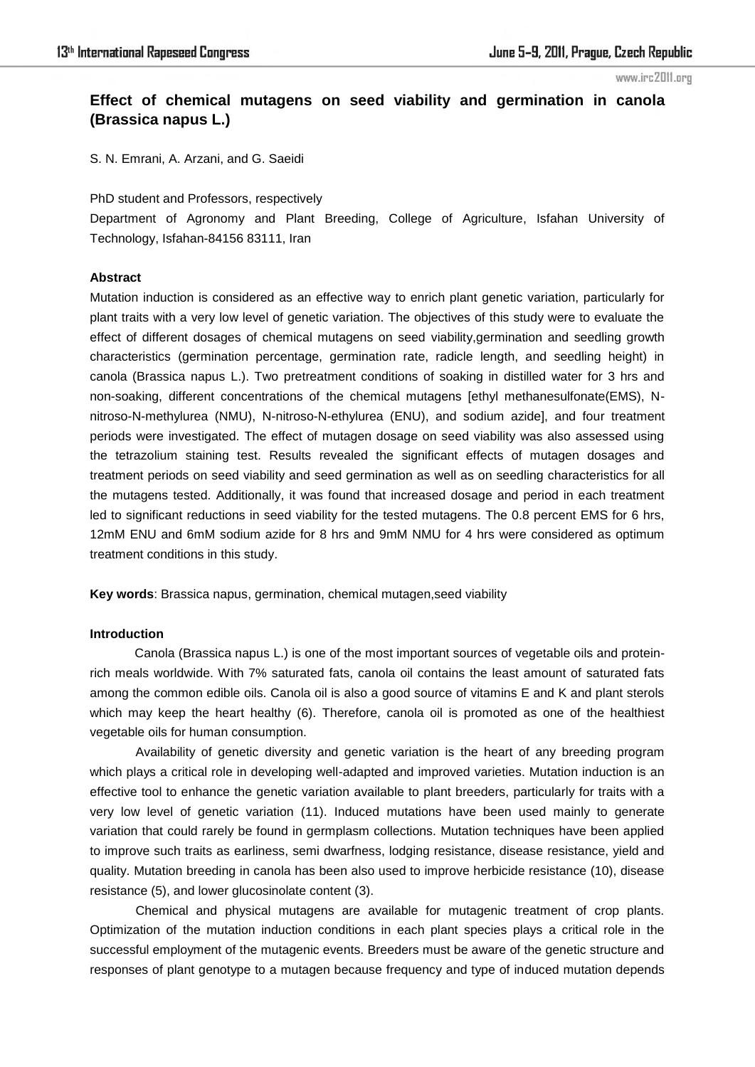## **Effect of chemical mutagens on seed viability and germination in canola (Brassica napus L.)**

S. N. Emrani, A. Arzani, and G. Saeidi

#### PhD student and Professors, respectively

Department of Agronomy and Plant Breeding, College of Agriculture, Isfahan University of Technology, Isfahan-84156 83111, Iran

## **Abstract**

Mutation induction is considered as an effective way to enrich plant genetic variation, particularly for plant traits with a very low level of genetic variation. The objectives of this study were to evaluate the effect of different dosages of chemical mutagens on seed viability,germination and seedling growth characteristics (germination percentage, germination rate, radicle length, and seedling height) in canola (Brassica napus L.). Two pretreatment conditions of soaking in distilled water for 3 hrs and non-soaking, different concentrations of the chemical mutagens [ethyl methanesulfonate(EMS), Nnitroso-N-methylurea (NMU), N-nitroso-N-ethylurea (ENU), and sodium azide], and four treatment periods were investigated. The effect of mutagen dosage on seed viability was also assessed using the tetrazolium staining test. Results revealed the significant effects of mutagen dosages and treatment periods on seed viability and seed germination as well as on seedling characteristics for all the mutagens tested. Additionally, it was found that increased dosage and period in each treatment led to significant reductions in seed viability for the tested mutagens. The 0.8 percent EMS for 6 hrs, 12mM ENU and 6mM sodium azide for 8 hrs and 9mM NMU for 4 hrs were considered as optimum treatment conditions in this study.

**Key words**: Brassica napus, germination, chemical mutagen,seed viability

### **Introduction**

Canola (Brassica napus L.) is one of the most important sources of vegetable oils and proteinrich meals worldwide. With 7% saturated fats, canola oil contains the least amount of saturated fats among the common edible oils. Canola oil is also a good source of vitamins E and K and plant sterols which may keep the heart healthy (6). Therefore, canola oil is promoted as one of the healthiest vegetable oils for human consumption.

Availability of genetic diversity and genetic variation is the heart of any breeding program which plays a critical role in developing well-adapted and improved varieties. Mutation induction is an effective tool to enhance the genetic variation available to plant breeders, particularly for traits with a very low level of genetic variation (11). Induced mutations have been used mainly to generate variation that could rarely be found in germplasm collections. Mutation techniques have been applied to improve such traits as earliness, semi dwarfness, lodging resistance, disease resistance, yield and quality. Mutation breeding in canola has been also used to improve herbicide resistance (10), disease resistance (5), and lower glucosinolate content (3).

Chemical and physical mutagens are available for mutagenic treatment of crop plants. Optimization of the mutation induction conditions in each plant species plays a critical role in the successful employment of the mutagenic events. Breeders must be aware of the genetic structure and responses of plant genotype to a mutagen because frequency and type of induced mutation depends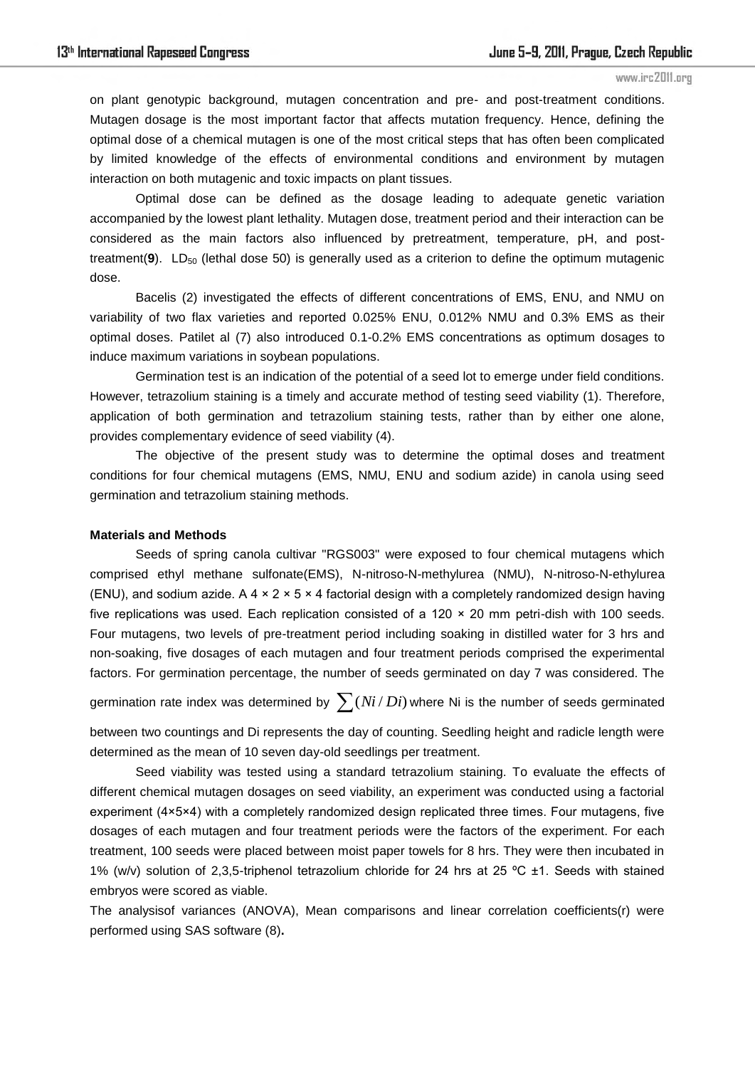on plant genotypic background, mutagen concentration and pre- and post-treatment conditions. Mutagen dosage is the most important factor that affects mutation frequency. Hence, defining the optimal dose of a chemical mutagen is one of the most critical steps that has often been complicated by limited knowledge of the effects of environmental conditions and environment by mutagen interaction on both mutagenic and toxic impacts on plant tissues.

Optimal dose can be defined as the dosage leading to adequate genetic variation accompanied by the lowest plant lethality. Mutagen dose, treatment period and their interaction can be considered as the main factors also influenced by pretreatment, temperature, pH, and posttreatment(9). LD<sub>50</sub> (lethal dose 50) is generally used as a criterion to define the optimum mutagenic dose.

Bacelis (2) investigated the effects of different concentrations of EMS, ENU, and NMU on variability of two flax varieties and reported 0.025% ENU, 0.012% NMU and 0.3% EMS as their optimal doses. Patilet al (7) also introduced 0.1-0.2% EMS concentrations as optimum dosages to induce maximum variations in soybean populations.

Germination test is an indication of the potential of a seed lot to emerge under field conditions. However, tetrazolium staining is a timely and accurate method of testing seed viability (1). Therefore, application of both germination and tetrazolium staining tests, rather than by either one alone, provides complementary evidence of seed viability (4).

The objective of the present study was to determine the optimal doses and treatment conditions for four chemical mutagens (EMS, NMU, ENU and sodium azide) in canola using seed germination and tetrazolium staining methods.

#### **Materials and Methods**

Seeds of spring canola cultivar "RGS003" were exposed to four chemical mutagens which comprised ethyl methane sulfonate(EMS), N-nitroso-N-methylurea (NMU), N-nitroso-N-ethylurea (ENU), and sodium azide. A 4  $\times$  2  $\times$  5  $\times$  4 factorial design with a completely randomized design having five replications was used. Each replication consisted of a 120 × 20 mm petri-dish with 100 seeds. Four mutagens, two levels of pre-treatment period including soaking in distilled water for 3 hrs and non-soaking, five dosages of each mutagen and four treatment periods comprised the experimental factors. For germination percentage, the number of seeds germinated on day 7 was considered. The

germination rate index was determined by  $\sum (Ni$  /  $Di)$  where Ni is the number of seeds germinated

between two countings and Di represents the day of counting. Seedling height and radicle length were determined as the mean of 10 seven day-old seedlings per treatment.

Seed viability was tested using a standard tetrazolium staining. To evaluate the effects of different chemical mutagen dosages on seed viability, an experiment was conducted using a factorial experiment (4×5×4) with a completely randomized design replicated three times. Four mutagens, five dosages of each mutagen and four treatment periods were the factors of the experiment. For each treatment, 100 seeds were placed between moist paper towels for 8 hrs. They were then incubated in 1% (w/v) solution of 2,3,5-triphenol tetrazolium chloride for 24 hrs at 25 ºC ±1. Seeds with stained embryos were scored as viable.

The analysisof variances (ANOVA), Mean comparisons and linear correlation coefficients(r) were performed using SAS software (8)**.**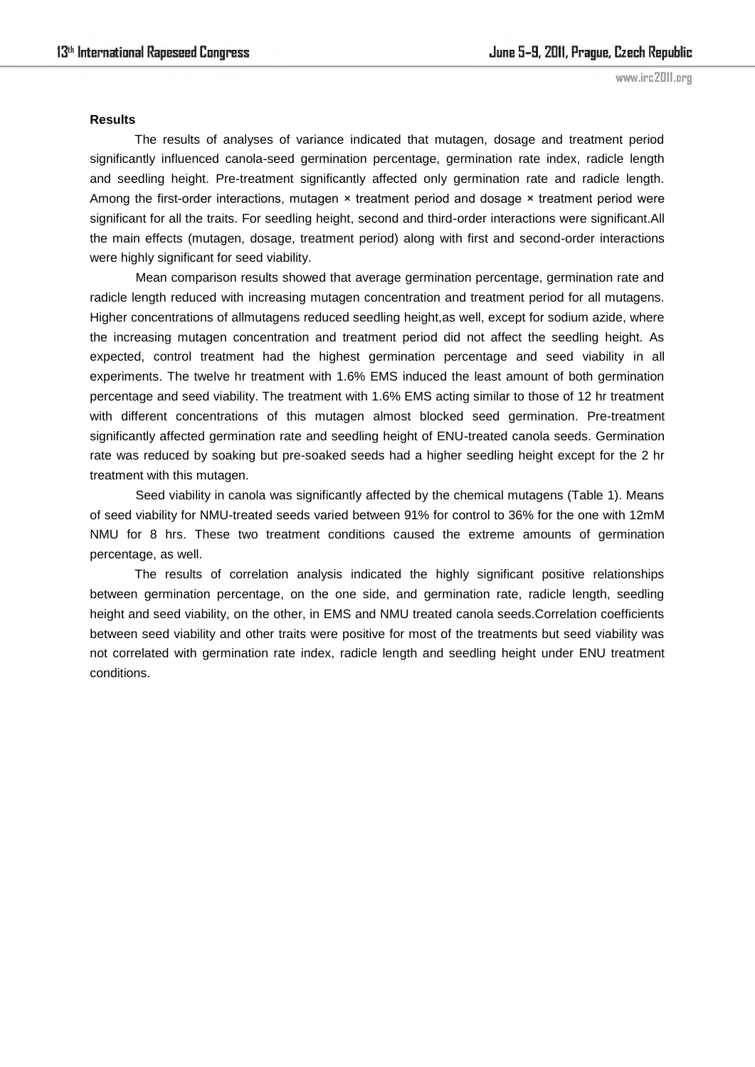#### **Results**

The results of analyses of variance indicated that mutagen, dosage and treatment period significantly influenced canola-seed germination percentage, germination rate index, radicle length and seedling height. Pre-treatment significantly affected only germination rate and radicle length. Among the first-order interactions, mutagen × treatment period and dosage × treatment period were significant for all the traits. For seedling height, second and third-order interactions were significant.All the main effects (mutagen, dosage, treatment period) along with first and second-order interactions were highly significant for seed viability.

Mean comparison results showed that average germination percentage, germination rate and radicle length reduced with increasing mutagen concentration and treatment period for all mutagens. Higher concentrations of allmutagens reduced seedling height,as well, except for sodium azide, where the increasing mutagen concentration and treatment period did not affect the seedling height. As expected, control treatment had the highest germination percentage and seed viability in all experiments. The twelve hr treatment with 1.6% EMS induced the least amount of both germination percentage and seed viability. The treatment with 1.6% EMS acting similar to those of 12 hr treatment with different concentrations of this mutagen almost blocked seed germination. Pre-treatment significantly affected germination rate and seedling height of ENU-treated canola seeds. Germination rate was reduced by soaking but pre-soaked seeds had a higher seedling height except for the 2 hr treatment with this mutagen.

Seed viability in canola was significantly affected by the chemical mutagens (Table 1). Means of seed viability for NMU-treated seeds varied between 91% for control to 36% for the one with 12mM NMU for 8 hrs. These two treatment conditions caused the extreme amounts of germination percentage, as well.

The results of correlation analysis indicated the highly significant positive relationships between germination percentage, on the one side, and germination rate, radicle length, seedling height and seed viability, on the other, in EMS and NMU treated canola seeds.Correlation coefficients between seed viability and other traits were positive for most of the treatments but seed viability was not correlated with germination rate index, radicle length and seedling height under ENU treatment conditions.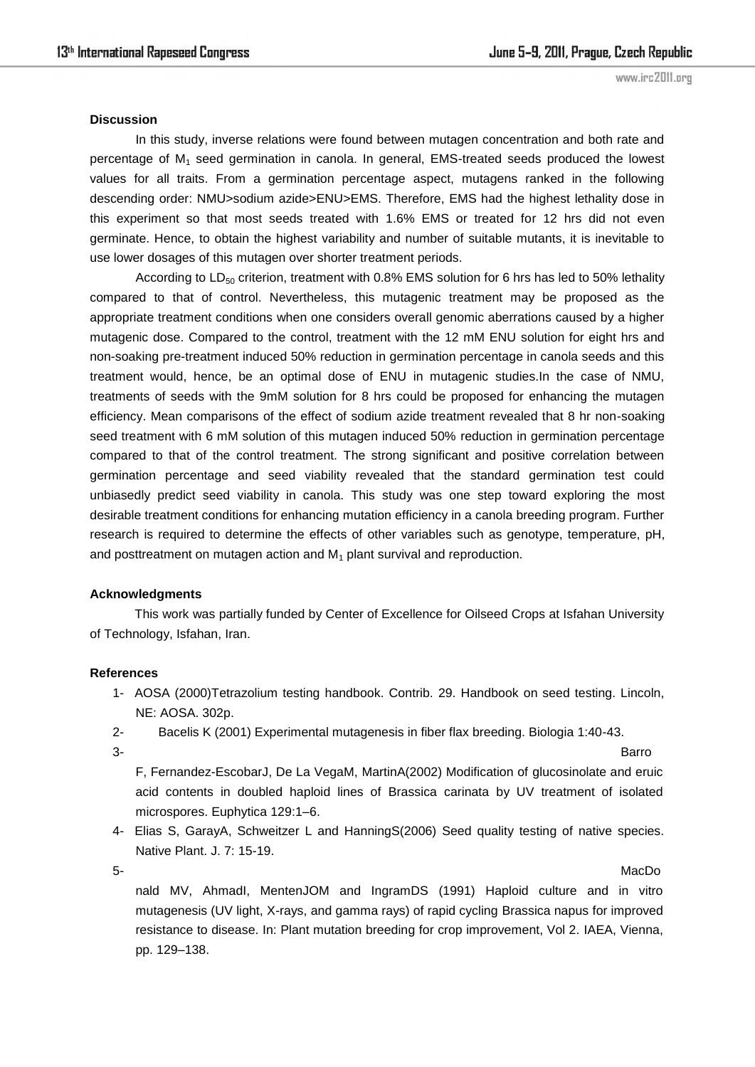### **Discussion**

In this study, inverse relations were found between mutagen concentration and both rate and percentage of  $M_1$  seed germination in canola. In general, EMS-treated seeds produced the lowest values for all traits. From a germination percentage aspect, mutagens ranked in the following descending order: NMU>sodium azide>ENU>EMS. Therefore, EMS had the highest lethality dose in this experiment so that most seeds treated with 1.6% EMS or treated for 12 hrs did not even germinate. Hence, to obtain the highest variability and number of suitable mutants, it is inevitable to use lower dosages of this mutagen over shorter treatment periods.

According to  $LD_{50}$  criterion, treatment with 0.8% EMS solution for 6 hrs has led to 50% lethality compared to that of control. Nevertheless, this mutagenic treatment may be proposed as the appropriate treatment conditions when one considers overall genomic aberrations caused by a higher mutagenic dose. Compared to the control, treatment with the 12 mM ENU solution for eight hrs and non-soaking pre-treatment induced 50% reduction in germination percentage in canola seeds and this treatment would, hence, be an optimal dose of ENU in mutagenic studies.In the case of NMU, treatments of seeds with the 9mM solution for 8 hrs could be proposed for enhancing the mutagen efficiency. Mean comparisons of the effect of sodium azide treatment revealed that 8 hr non-soaking seed treatment with 6 mM solution of this mutagen induced 50% reduction in germination percentage compared to that of the control treatment. The strong significant and positive correlation between germination percentage and seed viability revealed that the standard germination test could unbiasedly predict seed viability in canola. This study was one step toward exploring the most desirable treatment conditions for enhancing mutation efficiency in a canola breeding program. Further research is required to determine the effects of other variables such as genotype, temperature, pH, and posttreatment on mutagen action and  $M_1$  plant survival and reproduction.

## **Acknowledgments**

This work was partially funded by Center of Excellence for Oilseed Crops at Isfahan University of Technology, Isfahan, Iran.

## **References**

- 1- AOSA (2000)Tetrazolium testing handbook. Contrib. 29. Handbook on seed testing. Lincoln, NE: AOSA. 302p.
- 2- Bacelis K (2001) Experimental mutagenesis in fiber flax breeding. Biologia 1:40-43.
- 3- Barro

F, Fernandez-EscobarJ, De La VegaM, MartinA(2002) Modification of glucosinolate and eruic acid contents in doubled haploid lines of Brassica carinata by UV treatment of isolated microspores. Euphytica 129:1–6.

4- Elias S, GarayA, Schweitzer L and HanningS(2006) Seed quality testing of native species. Native Plant. J. 7: 15-19.

5- MacDo

nald MV, AhmadI, MentenJOM and IngramDS (1991) Haploid culture and in vitro mutagenesis (UV light, X-rays, and gamma rays) of rapid cycling Brassica napus for improved resistance to disease. In: Plant mutation breeding for crop improvement, Vol 2. IAEA, Vienna, pp. 129–138.